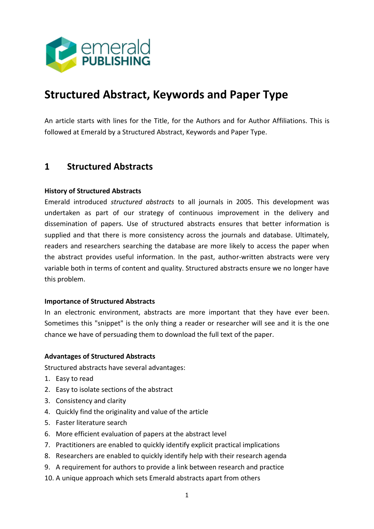

# **Structured Abstract, Keywords and Paper Type**

An article starts with lines for the Title, for the Authors and for Author Affiliations. This is followed at Emerald by a Structured Abstract, Keywords and Paper Type.

### **1 Structured Abstracts**

#### **History of Structured Abstracts**

Emerald introduced *structured abstracts* to all journals in 2005. This development was undertaken as part of our strategy of continuous improvement in the delivery and dissemination of papers. Use of structured abstracts ensures that better information is supplied and that there is more consistency across the journals and database. Ultimately, readers and researchers searching the database are more likely to access the paper when the abstract provides useful information. In the past, author-written abstracts were very variable both in terms of content and quality. Structured abstracts ensure we no longer have this problem.

#### **Importance of Structured Abstracts**

In an electronic environment, abstracts are more important that they have ever been. Sometimes this "snippet" is the only thing a reader or researcher will see and it is the one chance we have of persuading them to download the full text of the paper.

#### **Advantages of Structured Abstracts**

Structured abstracts have several advantages:

- 1. Easy to read
- 2. Easy to isolate sections of the abstract
- 3. Consistency and clarity
- 4. Quickly find the originality and value of the article
- 5. Faster literature search
- 6. More efficient evaluation of papers at the abstract level
- 7. Practitioners are enabled to quickly identify explicit practical implications
- 8. Researchers are enabled to quickly identify help with their research agenda
- 9. A requirement for authors to provide a link between research and practice
- 10. A unique approach which sets Emerald abstracts apart from others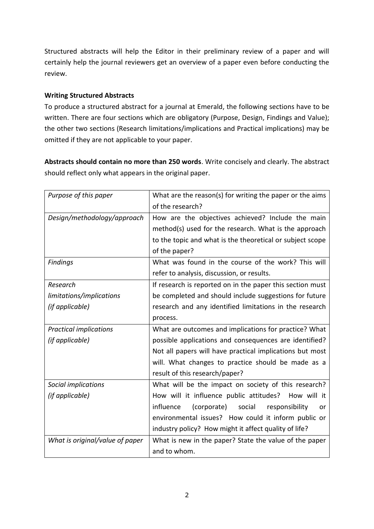Structured abstracts will help the Editor in their preliminary review of a paper and will certainly help the journal reviewers get an overview of a paper even before conducting the review.

#### **Writing Structured Abstracts**

To produce a structured abstract for a journal at Emerald, the following sections have to be written. There are four sections which are obligatory (Purpose, Design, Findings and Value); the other two sections (Research limitations/implications and Practical implications) may be omitted if they are not applicable to your paper.

**Abstracts should contain no more than 250 words**. Write concisely and clearly. The abstract should reflect only what appears in the original paper.

| Purpose of this paper           | What are the reason(s) for writing the paper or the aims<br>of the research?                                                                                                             |
|---------------------------------|------------------------------------------------------------------------------------------------------------------------------------------------------------------------------------------|
| Design/methodology/approach     | How are the objectives achieved? Include the main<br>method(s) used for the research. What is the approach<br>to the topic and what is the theoretical or subject scope<br>of the paper? |
| Findings                        | What was found in the course of the work? This will<br>refer to analysis, discussion, or results.                                                                                        |
| Research                        | If research is reported on in the paper this section must                                                                                                                                |
| limitations/implications        | be completed and should include suggestions for future                                                                                                                                   |
| (if applicable)                 | research and any identified limitations in the research<br>process.                                                                                                                      |
| <b>Practical implications</b>   | What are outcomes and implications for practice? What                                                                                                                                    |
| (if applicable)                 | possible applications and consequences are identified?                                                                                                                                   |
|                                 | Not all papers will have practical implications but most                                                                                                                                 |
|                                 | will. What changes to practice should be made as a                                                                                                                                       |
|                                 | result of this research/paper?                                                                                                                                                           |
| Social implications             | What will be the impact on society of this research?                                                                                                                                     |
| (if applicable)                 | How will it influence public attitudes? How will it                                                                                                                                      |
|                                 | social<br>influence<br>(corporate)<br>responsibility<br>or                                                                                                                               |
|                                 | environmental issues? How could it inform public or                                                                                                                                      |
|                                 | industry policy? How might it affect quality of life?                                                                                                                                    |
| What is original/value of paper | What is new in the paper? State the value of the paper                                                                                                                                   |
|                                 | and to whom.                                                                                                                                                                             |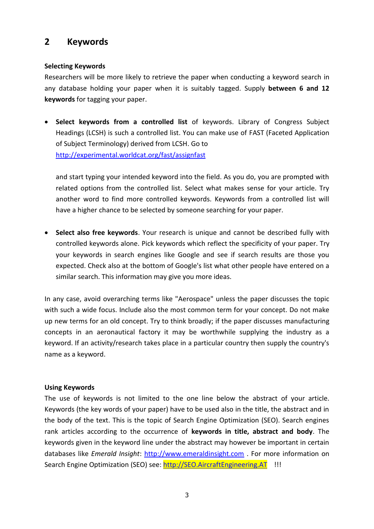## **2 Keywords**

#### **Selecting Keywords**

Researchers will be more likely to retrieve the paper when conducting a keyword search in any database holding your paper when it is suitably tagged. Supply **between 6 and 12 keywords** for tagging your paper.

 **Select keywords from a controlled list** of keywords. Library of Congress Subject Headings (LCSH) is such a controlled list. You can make use of FAST (Faceted Application of Subject Terminology) derived from LCSH. Go to http://experimental.worldcat.org/fast/assignfast

and start typing your intended keyword into the field. As you do, you are prompted with related options from the controlled list. Select what makes sense for your article. Try another word to find more controlled keywords. Keywords from a controlled list will have a higher chance to be selected by someone searching for your paper.

 **Select also free keywords**. Your research is unique and cannot be described fully with controlled keywords alone. Pick keywords which reflect the specificity of your paper. Try your keywords in search engines like Google and see if search results are those you expected. Check also at the bottom of Google's list what other people have entered on a similar search. This information may give you more ideas.

In any case, avoid overarching terms like "Aerospace" unless the paper discusses the topic with such a wide focus. Include also the most common term for your concept. Do not make up new terms for an old concept. Try to think broadly; if the paper discusses manufacturing concepts in an aeronautical factory it may be worthwhile supplying the industry as a keyword. If an activity/research takes place in a particular country then supply the country's name as a keyword.

#### **Using Keywords**

The use of keywords is not limited to the one line below the abstract of your article. Keywords (the key words of your paper) have to be used also in the title, the abstract and in the body of the text. This is the topic of Search Engine Optimization (SEO). Search engines rank articles according to the occurrence of **keywords in title, abstract and body**. The keywords given in the keyword line under the abstract may however be important in certain databases like *Emerald Insight*: http://www.emeraldinsight.com . For more information on Search Engine Optimization (SEO) see: http://SEO.AircraftEngineering.AT !!!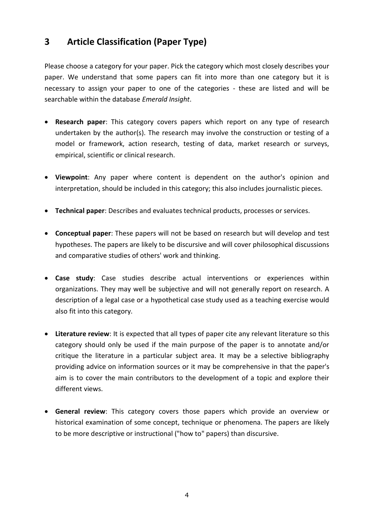## **3 Article Classification (Paper Type)**

Please choose a category for your paper. Pick the category which most closely describes your paper. We understand that some papers can fit into more than one category but it is necessary to assign your paper to one of the categories - these are listed and will be searchable within the database *Emerald Insight*.

- **Research paper**: This category covers papers which report on any type of research undertaken by the author(s). The research may involve the construction or testing of a model or framework, action research, testing of data, market research or surveys, empirical, scientific or clinical research.
- **Viewpoint**: Any paper where content is dependent on the author's opinion and interpretation, should be included in this category; this also includes journalistic pieces.
- **Technical paper**: Describes and evaluates technical products, processes or services.
- **Conceptual paper**: These papers will not be based on research but will develop and test hypotheses. The papers are likely to be discursive and will cover philosophical discussions and comparative studies of others' work and thinking.
- **Case study**: Case studies describe actual interventions or experiences within organizations. They may well be subjective and will not generally report on research. A description of a legal case or a hypothetical case study used as a teaching exercise would also fit into this category.
- **Literature review**: It is expected that all types of paper cite any relevant literature so this category should only be used if the main purpose of the paper is to annotate and/or critique the literature in a particular subject area. It may be a selective bibliography providing advice on information sources or it may be comprehensive in that the paper's aim is to cover the main contributors to the development of a topic and explore their different views.
- **General review**: This category covers those papers which provide an overview or historical examination of some concept, technique or phenomena. The papers are likely to be more descriptive or instructional ("how to" papers) than discursive.